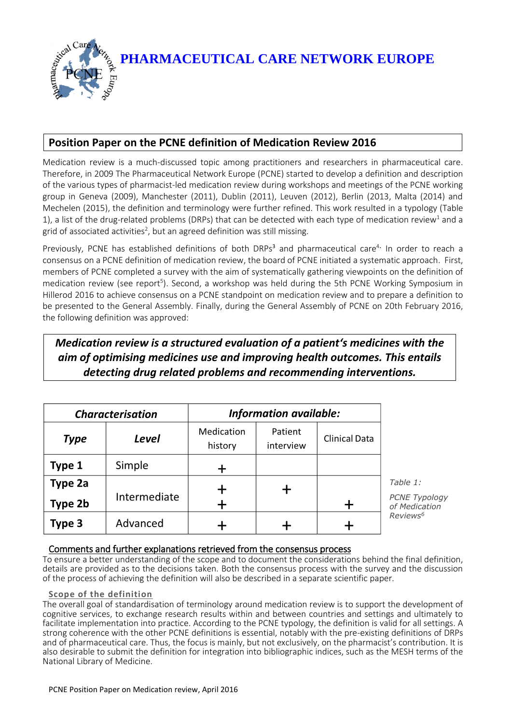**PHARMACEUTICAL CARE NETWORK EUROPE**

# **Position Paper on the PCNE definition of Medication Review 2016**

Medication review is a much-discussed topic among practitioners and researchers in pharmaceutical care. Therefore, in 2009 The Pharmaceutical Network Europe (PCNE) started to develop a definition and description of the various types of pharmacist-led medication review during workshops and meetings of the PCNE working group in Geneva (2009), Manchester (2011), Dublin (2011), Leuven (2012), Berlin (2013, Malta (2014) and Mechelen (2015), the definition and terminology were further refined. This work resulted in a typology (Table 1), a list of the drug-related problems (DRPs) that can be detected with each type of medication review<sup>1</sup> and a grid of associated activities $^2$ , but an agreed definition was still missing.

Previously, PCNE has established definitions of both DRPs<sup>3</sup> and pharmaceutical care<sup>4.</sup> In order to reach a consensus on a PCNE definition of medication review, the board of PCNE initiated a systematic approach. First, members of PCNE completed a survey with the aim of systematically gathering viewpoints on the definition of medication review (see report<sup>5</sup>). Second, a workshop was held during the 5th PCNE Working Symposium in Hillerod 2016 to achieve consensus on a PCNE standpoint on medication review and to prepare a definition to be presented to the General Assembly. Finally, during the General Assembly of PCNE on 20th February 2016, the following definition was approved:

# *Medication review is a structured evaluation of a patient's medicines with the aim of optimising medicines use and improving health outcomes. This entails detecting drug related problems and recommending interventions.*

| <b>Characterisation</b> |              | <b>Information available:</b> |                      |                      |                                                   |
|-------------------------|--------------|-------------------------------|----------------------|----------------------|---------------------------------------------------|
| <b>Type</b>             | Level        | Medication<br>history         | Patient<br>interview | <b>Clinical Data</b> |                                                   |
| Type 1                  | Simple       |                               |                      |                      |                                                   |
| Type 2a<br>Type 2b      | Intermediate |                               |                      |                      | Table 1:<br><b>PCNE Typology</b><br>of Medication |
| Type 3                  | Advanced     |                               |                      |                      | Reviews <sup>6</sup>                              |

# Comments and further explanations retrieved from the consensus process

To ensure a better understanding of the scope and to document the considerations behind the final definition, details are provided as to the decisions taken. Both the consensus process with the survey and the discussion of the process of achieving the definition will also be described in a separate scientific paper.

## **Scope of the definition**

The overall goal of standardisation of terminology around medication review is to support the development of cognitive services, to exchange research results within and between countries and settings and ultimately to facilitate implementation into practice. According to the PCNE typology, the definition is valid for all settings. A strong coherence with the other PCNE definitions is essential, notably with the pre-existing definitions of DRPs and of pharmaceutical care. Thus, the focus is mainly, but not exclusively, on the pharmacist's contribution. It is also desirable to submit the definition for integration into bibliographic indices, such as the MESH terms of the National Library of Medicine.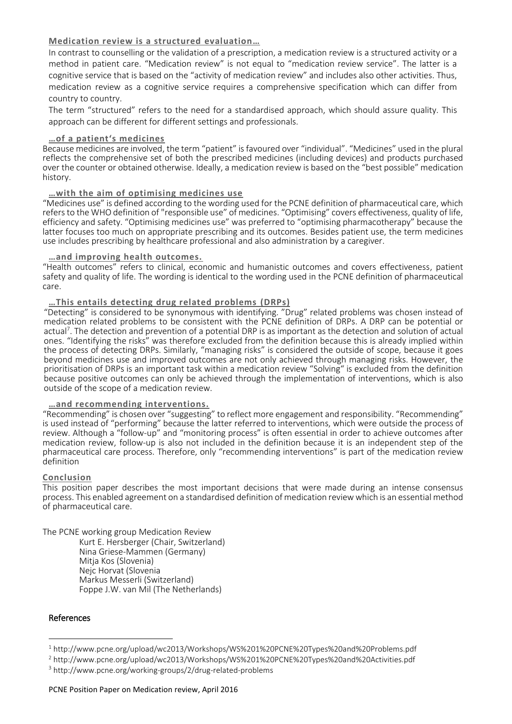## **Medication review is a structured evaluation…**

In contrast to counselling or the validation of a prescription, a medication review is a structured activity or a method in patient care. "Medication review" is not equal to "medication review service". The latter is a cognitive service that is based on the "activity of medication review" and includes also other activities. Thus, medication review as a cognitive service requires a comprehensive specification which can differ from country to country.

The term "structured" refers to the need for a standardised approach, which should assure quality. This approach can be different for different settings and professionals.

### **…of a patient's medicines**

Because medicines are involved, the term "patient" is favoured over "individual". "Medicines" used in the plural reflects the comprehensive set of both the prescribed medicines (including devices) and products purchased over the counter or obtained otherwise. Ideally, a medication review is based on the "best possible" medication history.

### **…with the aim of optimising medicines use**

"Medicines use" is defined according to the wording used for the PCNE definition of pharmaceutical care, which refers to the WHO definition of "responsible use" of medicines. "Optimising" covers effectiveness, quality of life, efficiency and safety. "Optimising medicines use" was preferred to "optimising pharmacotherapy" because the latter focuses too much on appropriate prescribing and its outcomes. Besides patient use, the term medicines use includes prescribing by healthcare professional and also administration by a caregiver.

#### **…and improving health outcomes.**

"Health outcomes" refers to clinical, economic and humanistic outcomes and covers effectiveness, patient safety and quality of life. The wording is identical to the wording used in the PCNE definition of pharmaceutical care.

### **…This entails detecting drug related problems (DRPs)**

"Detecting" is considered to be synonymous with identifying. "Drug" related problems was chosen instead of medication related problems to be consistent with the PCNE definition of DRPs. A DRP can be potential or actual<sup>7</sup>. The detection and prevention of a potential DRP is as important as the detection and solution of actual ones. "Identifying the risks" was therefore excluded from the definition because this is already implied within the process of detecting DRPs. Similarly, "managing risks" is considered the outside of scope, because it goes beyond medicines use and improved outcomes are not only achieved through managing risks. However, the prioritisation of DRPs is an important task within a medication review "Solving" is excluded from the definition because positive outcomes can only be achieved through the implementation of interventions, which is also outside of the scope of a medication review.

## **…and recommending interventions.**

"Recommending" is chosen over "suggesting" to reflect more engagement and responsibility. "Recommending" is used instead of "performing" because the latter referred to interventions, which were outside the process of review. Although a "follow-up" and "monitoring process" is often essential in order to achieve outcomes after medication review, follow-up is also not included in the definition because it is an independent step of the pharmaceutical care process. Therefore, only "recommending interventions" is part of the medication review definition

#### **Conclusion**

This position paper describes the most important decisions that were made during an intense consensus process. This enabled agreement on a standardised definition of medication review which is an essential method of pharmaceutical care.

The PCNE working group Medication Review Kurt E. Hersberger (Chair, Switzerland) Nina Griese-Mammen (Germany) Mitja Kos (Slovenia) Nejc Horvat (Slovenia Markus Messerli (Switzerland) Foppe J.W. van Mil (The Netherlands)

#### References

-

<sup>1</sup> http://www.pcne.org/upload/wc2013/Workshops/WS%201%20PCNE%20Types%20and%20Problems.pdf

<sup>2</sup> http://www.pcne.org/upload/wc2013/Workshops/WS%201%20PCNE%20Types%20and%20Activities.pdf

<sup>3</sup> http://www.pcne.org/working-groups/2/drug-related-problems